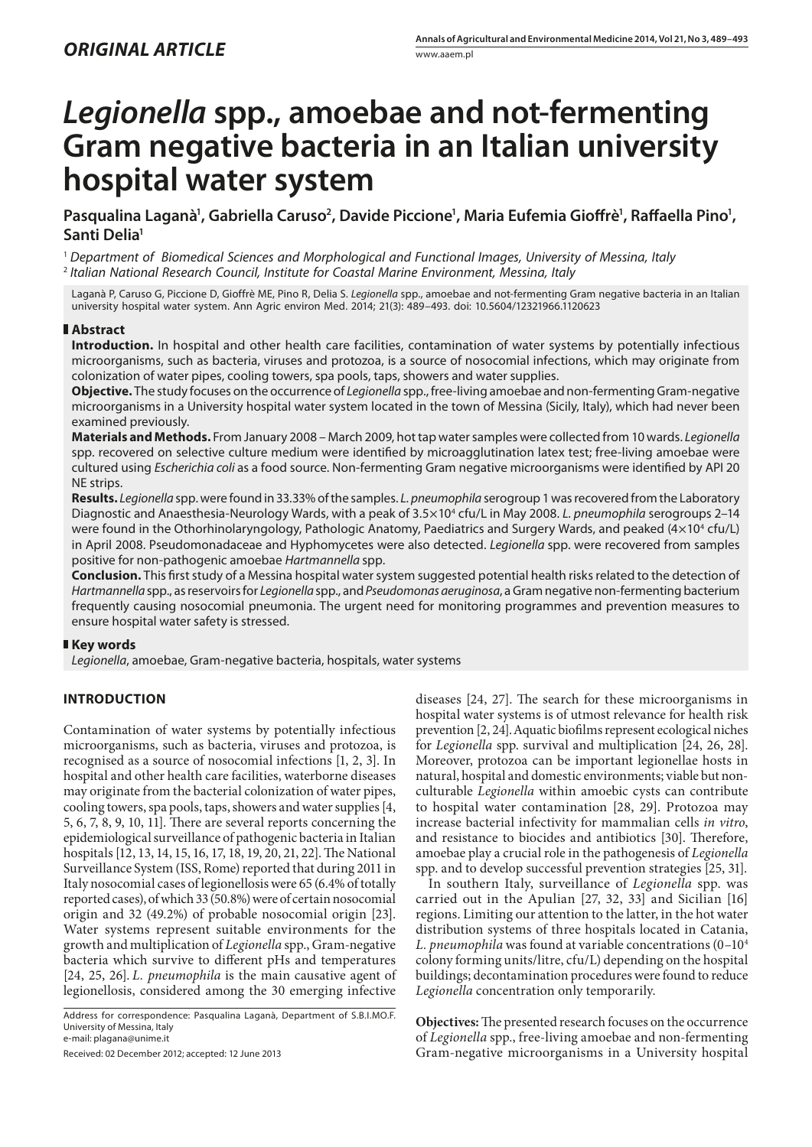# *Legionella* **spp., amoebae and not-fermenting Gram negative bacteria in an Italian university hospital water system**

Pasqualina Laganà<sup>1</sup>, Gabriella Caruso<sup>2</sup>, Davide Piccione<sup>1</sup>, Maria Eufemia Gioffrè<sup>1</sup>, Raffaella Pino<sup>1</sup>, **Santi Delia1**

<sup>1</sup> *Department of Biomedical Sciences and Morphological and Functional Images, University of Messina, Italy* <sup>2</sup> *Italian National Research Council, Institute for Coastal Marine Environment, Messina, Italy*

Laganà P, Caruso G, Piccione D, Gioffrè ME, Pino R, Delia S. *Legionella* spp., amoebae and not-fermenting Gram negative bacteria in an Italian university hospital water system. Ann Agric environ Med. 2014; 21(3): 489–493. doi: 10.5604/12321966.1120623

### **Abstract**

**Introduction.** In hospital and other health care facilities, contamination of water systems by potentially infectious microorganisms, such as bacteria, viruses and protozoa, is a source of nosocomial infections, which may originate from colonization of water pipes, cooling towers, spa pools, taps, showers and water supplies.

**Objective.** The study focuses on the occurrence of *Legionella* spp., free-living amoebae and non-fermenting Gram-negative microorganisms in a University hospital water system located in the town of Messina (Sicily, Italy), which had never been examined previously.

**Materials and Methods.** From January 2008 – March 2009, hot tap water samples were collected from 10 wards. *Legionella*  spp. recovered on selective culture medium were identified by microagglutination latex test; free-living amoebae were cultured using *Escherichia coli* as a food source. Non-fermenting Gram negative microorganisms were identified by API 20 NE strips.

**Results.** *Legionella* spp. were found in 33.33% of the samples. *L. pneumophila* serogroup 1 was recovered from the Laboratory Diagnostic and Anaesthesia-Neurology Wards, with a peak of 3.5×10<sup>4</sup> cfu/L in May 2008. *L. pneumophila* serogroups 2–14 were found in the Othorhinolaryngology, Pathologic Anatomy, Paediatrics and Surgery Wards, and peaked (4 $\times$ 10ª cfu/L) in April 2008. Pseudomonadaceae and Hyphomycetes were also detected. *Legionella* spp. were recovered from samples positive for non-pathogenic amoebae *Hartmannella* spp.

**Conclusion.** This first study of a Messina hospital water system suggested potential health risks related to the detection of *Hartmannella* spp., as reservoirs for *Legionella* spp., and *Pseudomonas aeruginosa*, a Gram negative non-fermenting bacterium frequently causing nosocomial pneumonia. The urgent need for monitoring programmes and prevention measures to ensure hospital water safety is stressed.

## **Key words**

*Legionella*, amoebae, Gram-negative bacteria, hospitals, water systems

## **INTRODUCTION**

Contamination of water systems by potentially infectious microorganisms, such as bacteria, viruses and protozoa, is recognised as a source of nosocomial infections [1, 2, 3]. In hospital and other health care facilities, waterborne diseases may originate from the bacterial colonization of water pipes, cooling towers, spa pools, taps, showers and water supplies [4, 5, 6, 7, 8, 9, 10, 11]. There are several reports concerning the epidemiological surveillance of pathogenic bacteria in Italian hospitals [12, 13, 14, 15, 16, 17, 18, 19, 20, 21, 22]. The National Surveillance System (ISS, Rome) reported that during 2011 in Italy nosocomial cases of legionellosis were 65 (6.4% of totally reported cases), of which 33 (50.8%) were of certain nosocomial origin and 32 (49.2%) of probable nosocomial origin [23]. Water systems represent suitable environments for the growth and multiplication of *Legionella* spp., Gram-negative bacteria which survive to different pHs and temperatures [24, 25, 26]. *L. pneumophila* is the main causative agent of legionellosis, considered among the 30 emerging infective

Address for correspondence: Pasqualina Laganà, Department of S.B.I.MO.F. University of Messina, Italy e-mail: [plagana@unime.it](mailto:plagana@unime.it)

Received: 02 December 2012; accepted: 12 June 2013

diseases [24, 27]. The search for these microorganisms in hospital water systems is of utmost relevance for health risk prevention [2, 24].Aquatic biofilms represent ecological niches for *Legionella* spp. survival and multiplication [24, 26, 28]. Moreover, protozoa can be important legionellae hosts in natural, hospital and domestic environments; viable but nonculturable *Legionella* within amoebic cysts can contribute to hospital water contamination [28, 29]. Protozoa may increase bacterial infectivity for mammalian cells *in vitro*, and resistance to biocides and antibiotics [30]. Therefore, amoebae play a crucial role in the pathogenesis of *Legionella*  spp. and to develop successful prevention strategies [25, 31].

In southern Italy, surveillance of *Legionella* spp. was carried out in the Apulian [27, 32, 33] and Sicilian [16] regions. Limiting our attention to the latter, in the hot water distribution systems of three hospitals located in Catania, *L. pneumophila* was found at variable concentrations (0–104 colony forming units/litre, cfu/L) depending on the hospital buildings; decontamination procedures were found to reduce *Legionella* concentration only temporarily.

**Objectives:** The presented research focuses on the occurrence of *Legionella* spp., free-living amoebae and non-fermenting Gram-negative microorganisms in a University hospital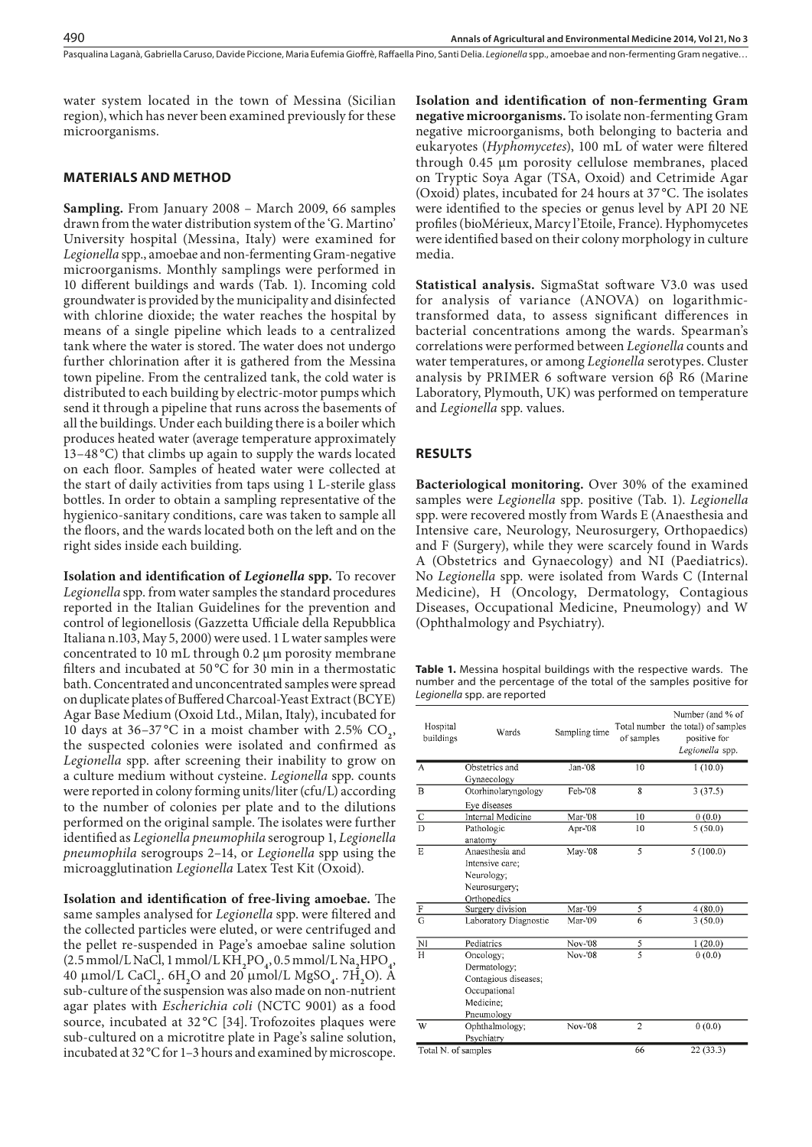Pasqualina Laganà, Gabriella Caruso, Davide Piccione, Maria Eufemia Gioffrè, Raffaella Pino, Santi Delia, Legionella spp., amoebae and non-fermenting Gram negative...

water system located in the town of Messina (Sicilian region), which has never been examined previously for these microorganisms.

## **MATERIALS AND METHOD**

**Sampling.** From January 2008 – March 2009, 66 samples drawn from the water distribution system of the 'G. Martino' University hospital (Messina, Italy) were examined for *Legionella* spp., amoebae and non-fermenting Gram-negative microorganisms. Monthly samplings were performed in 10 different buildings and wards (Tab. 1). Incoming cold groundwater is provided by the municipality and disinfected with chlorine dioxide; the water reaches the hospital by means of a single pipeline which leads to a centralized tank where the water is stored. The water does not undergo further chlorination after it is gathered from the Messina town pipeline. From the centralized tank, the cold water is distributed to each building by electric-motor pumps which send it through a pipeline that runs across the basements of all the buildings. Under each building there is a boiler which produces heated water (average temperature approximately 13–48 °C) that climbs up again to supply the wards located on each floor. Samples of heated water were collected at the start of daily activities from taps using 1 L-sterile glass bottles. In order to obtain a sampling representative of the hygienico-sanitary conditions, care was taken to sample all the floors, and the wards located both on the left and on the right sides inside each building.

**Isolation and identification of** *Legionella* **spp.** To recover *Legionella* spp. from water samples the standard procedures reported in the Italian Guidelines for the prevention and control of legionellosis (Gazzetta Ufficiale della Repubblica Italiana n.103, May 5, 2000) were used. 1 L water samples were concentrated to 10 mL through 0.2 µm porosity membrane filters and incubated at 50 °C for 30 min in a thermostatic bath. Concentrated and unconcentrated samples were spread on duplicate plates of Buffered Charcoal-Yeast Extract (BCYE) Agar Base Medium (Oxoid Ltd., Milan, Italy), incubated for 10 days at  $36-37^{\circ}$ C in a moist chamber with  $2.5\%$  CO<sub>2</sub>, the suspected colonies were isolated and confirmed as *Legionella* spp. after screening their inability to grow on a culture medium without cysteine. *Legionella* spp. counts were reported in colony forming units/liter (cfu/L) according to the number of colonies per plate and to the dilutions performed on the original sample. The isolates were further identified as *Legionella pneumophila* serogroup 1, *Legionella pneumophila* serogroups 2–14, or *Legionella* spp using the microagglutination *Legionella* Latex Test Kit (Oxoid).

**Isolation and identification of free-living amoebae.** The same samples analysed for *Legionella* spp. were filtered and the collected particles were eluted, or were centrifuged and the pellet re-suspended in Page's amoebae saline solution (2.5 mmol/L NaCl, 1 mmol/L KH**<sup>2</sup>** PO**<sup>4</sup>** , 0.5 mmol/L Na**<sup>2</sup>** HPO**<sup>4</sup>** , 40 mmol/L CaCl**2**. 6H**<sup>2</sup>** O and 20 mmol/L MgSO**<sup>4</sup>** . 7H**<sup>2</sup>** O). A sub-culture of the suspension was also made on non-nutrient agar plates with *Escherichia coli* (NCTC 9001) as a food source, incubated at 32 °C [34]. Trofozoites plaques were sub-cultured on a microtitre plate in Page's saline solution, incubated at 32°C for 1–3 hours and examined by microscope.

**Isolation and identification of non-fermenting Gram negative microorganisms.** To isolate non-fermenting Gram negative microorganisms, both belonging to bacteria and eukaryotes (*Hyphomycetes*), 100 mL of water were filtered through 0.45 μm porosity cellulose membranes, placed on Tryptic Soya Agar (TSA, Oxoid) and Cetrimide Agar (Oxoid) plates, incubated for 24 hours at 37 °C. The isolates were identified to the species or genus level by API 20 NE profiles (bioMérieux, Marcy l'Etoile, France). Hyphomycetes were identified based on their colony morphology in culture media.

**Statistical analysis.** SigmaStat software V3.0 was used for analysis of variance (ANOVA) on logarithmictransformed data, to assess significant differences in bacterial concentrations among the wards. Spearman's correlations were performed between *Legionella* counts and water temperatures, or among *Legionella* serotypes. Cluster analysis by PRIMER 6 software version 6β R6 (Marine Laboratory, Plymouth, UK) was performed on temperature and *Legionella* spp. values.

#### **RESULTS**

**Bacteriological monitoring.** Over 30% of the examined samples were *Legionella* spp. positive (Tab. 1). *Legionella* spp. were recovered mostly from Wards E (Anaesthesia and Intensive care, Neurology, Neurosurgery, Orthopaedics) and F (Surgery), while they were scarcely found in Wards A (Obstetrics and Gynaecology) and NI (Paediatrics). No *Legionella* spp. were isolated from Wards C (Internal Medicine), H (Oncology, Dermatology, Contagious Diseases, Occupational Medicine, Pneumology) and W (Ophthalmology and Psychiatry).

**Table 1.** Messina hospital buildings with the respective wards. The number and the percentage of the total of the samples positive for *Legionella* spp. are reported

| Hospital<br>buildings | Wards                                                                                        | Sampling time  | of samples     | Number (and % of<br>Total number the total) of samples<br>positive for<br>Legionella spp. |
|-----------------------|----------------------------------------------------------------------------------------------|----------------|----------------|-------------------------------------------------------------------------------------------|
| A                     | Obstetrics and                                                                               | $Jan-108$      | 10             | 1(10.0)                                                                                   |
|                       | Gynaecology                                                                                  |                |                |                                                                                           |
| $\overline{B}$        | Otorhinolaryngology                                                                          | Feb-'08        | 8              | 3(37.5)                                                                                   |
|                       | Eye diseases                                                                                 |                |                |                                                                                           |
| $rac{C}{D}$           | Internal Medicine                                                                            | Mar-'08        | 10             | 0(0.0)                                                                                    |
|                       | Pathologic<br>anatomy                                                                        | Apr-'08        | 10             | 5(50.0)                                                                                   |
| E                     | Anaesthesia and<br>Intensive care;<br>Neurology;<br>Neurosurgery;<br>Orthopedics             | May-'08        | 5              | 5(100.0)                                                                                  |
|                       | Surgery division                                                                             | Mar-'09        | 5              | 4(80.0)                                                                                   |
| $rac{F}{G}$           | Laboratory Diagnostic                                                                        | Mar-'09        | 6              | 3(50.0)                                                                                   |
| $\overline{M}$        | Pediatrics                                                                                   | Nov-'08        | 5              | 1(20.0)                                                                                   |
| $\overline{\rm H}$    | Oncology;<br>Dermatology;<br>Contagious diseases;<br>Occupational<br>Medicine:<br>Pneumology | Nov-'08        | $\overline{5}$ | 0(0.0)                                                                                    |
| W                     | Ophthalmology;<br>Psychiatry                                                                 | <b>Nov-'08</b> | $\overline{2}$ | 0(0.0)                                                                                    |
| Total N. of samples   |                                                                                              | 66             | 22(33.3)       |                                                                                           |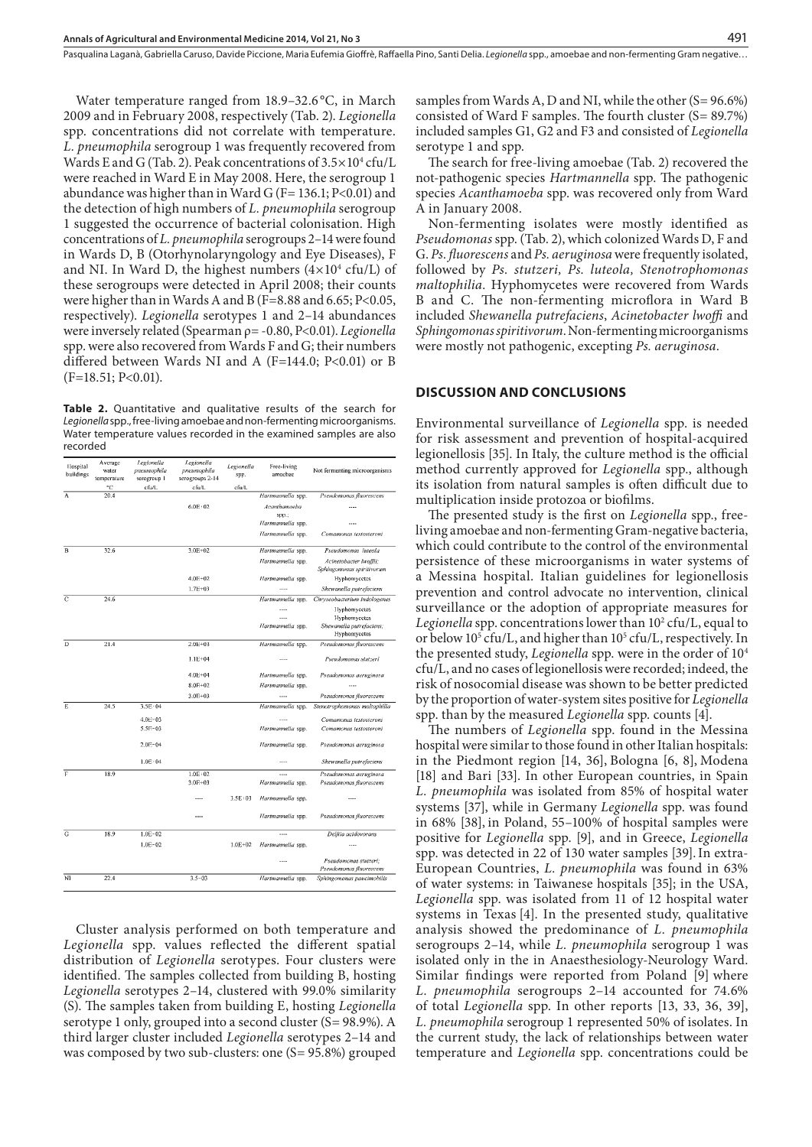Pasqualina Laganà, Gabriella Caruso, Davide Piccione, Maria Eufemia Gioffrè, Raffaella Pino, Santi Delia . *Legionella* spp., amoebae and non-fermenting Gram negative…

Water temperature ranged from 18.9–32.6 °C, in March 2009 and in February 2008, respectively (Tab. 2). *Legionella*  spp. concentrations did not correlate with temperature. *L. pneumophila* serogroup 1 was frequently recovered from Wards E and G (Tab. 2). Peak concentrations of  $3.5 \times 10^4$  cfu/L were reached in Ward E in May 2008. Here, the serogroup 1 abundance was higher than in Ward G (F= 136.1; P<0.01) and the detection of high numbers of *L. pneumophila* serogroup 1 suggested the occurrence of bacterial colonisation. High concentrations of *L. pneumophila* serogroups 2–14 were found in Wards D, B (Otorhynolaryngology and Eye Diseases), F and NI. In Ward D, the highest numbers  $(4\times10^4 \text{ cfu/L})$  of these serogroups were detected in April 2008; their counts were higher than in Wards A and B (F=8.88 and 6.65; P<0.05, respectively). *Legionella* serotypes 1 and 2–14 abundances were inversely related (Spearman ρ= -0.80, P<0.01). *Legionella* spp. were also recovered from Wards F and G; their numbers differed between Wards NI and A (F=144.0; P<0.01) or B  $(F=18.51; P<0.01)$ .

**Table 2.** Quantitative and qualitative results of the search for *Legionella* spp., free-living amoebae and non-fermenting microorganisms. Water temperature values recorded in the examined samples are also recorded

| Hospital<br>buildings | Average<br>water<br>temperature | Legionella<br>pneumophila<br>serogroup | Legionella<br>pneumophila<br>serogroups 2-14 | Legionella<br>spp. | Free-living<br>amocbac | Not fermenting microorganisms                       |
|-----------------------|---------------------------------|----------------------------------------|----------------------------------------------|--------------------|------------------------|-----------------------------------------------------|
|                       | °C                              | cfu/L                                  | cfu/L                                        | cfu/L              |                        |                                                     |
| A                     | 20.4                            |                                        |                                              |                    | Hartmannella spp.      | Pseudomonas fluorescens                             |
|                       |                                 |                                        | 6.0E:02                                      |                    | Acanthamoeba<br>spp.;  |                                                     |
|                       |                                 |                                        |                                              |                    | Hartmannella spp.      |                                                     |
|                       |                                 |                                        |                                              |                    | Hartmannella spp.      | Comamonas testosteroni                              |
| B                     | 32.6                            |                                        | $3.0E + 02$                                  |                    | Hartmannella spp.      | Pseudomonas luteola                                 |
|                       |                                 |                                        |                                              |                    | Hartmannella spp.      | Acinetobacter lwoffii;<br>Sphingomonas spiritivorum |
|                       |                                 |                                        | 4.0E+02                                      |                    | Hartmannella spp.      | Hyphomycetes                                        |
|                       |                                 |                                        | $1.7E + 03$                                  |                    | $\sim$                 | Shewanella putrefaciens                             |
| $\mathbf{C}$          | 24.6                            |                                        |                                              |                    | Hartmannella spp.      | Chryseobacterium indologenes                        |
|                       |                                 |                                        |                                              |                    |                        | <b>Hyphomycetes</b>                                 |
|                       |                                 |                                        |                                              |                    | $\cdots$               | Hyphomycetes                                        |
|                       |                                 |                                        |                                              |                    | Hartmannella spp.      | Shewanella putrefaciens;<br>Hyphomycetes            |
| $\overline{D}$        | 21.4                            |                                        | $2.0E + 03$                                  |                    | Hartmannella spp.      | Pseudomonas fluorescens                             |
|                       |                                 |                                        | $1.1E + 04$                                  |                    |                        | Pseudomonas stutzeri                                |
|                       |                                 |                                        | $4.0E + 04$                                  |                    | Hartmannella spp.      | Pseudomonas aeruginosa                              |
|                       |                                 |                                        | $8.0E + 02$                                  |                    | Hartmannella spp.      |                                                     |
|                       |                                 |                                        | $3.0E + 03$                                  |                    |                        | Pseudomonas fluorescens                             |
| E                     | 24.5                            | $3.5E - 04$                            |                                              |                    | Hartmannella spp.      | Stenotrophomonas maltophilia                        |
|                       |                                 | $4.0E - 03$                            |                                              |                    |                        | Comamonas testosteroni                              |
|                       |                                 | $5.5E - 03$                            |                                              |                    | Hartmannella spp.      | Comamonas testosteroni                              |
|                       |                                 | $2.0F - 04$                            |                                              |                    | Hartmannella spp.      | Pseudomonas aeruginosa                              |
|                       |                                 | $1.0E \cdot 04$                        |                                              |                    | $\cdots$               | Shewanella putrefaciens                             |
| F                     | 18.9                            |                                        | 1.0E:02                                      |                    |                        | Pseudomonas aeruginosa                              |
|                       |                                 |                                        | $3.0E + 03$                                  |                    | Hartmannella spp.      | Pseudomonas fluorescens                             |
|                       |                                 |                                        |                                              | $3.5E + 03$        | Hartmannella spp.      |                                                     |
|                       |                                 |                                        |                                              |                    | Hartmannella spp.      | Pseudomonas fluorescens                             |
| G                     | 18.9                            | $1.0E - 02$                            |                                              |                    | $\sim$                 | Delftia acidovorans                                 |
|                       |                                 | $1.0E - 02$                            |                                              | $1.0E + 02$        | Hartmannella spp.      |                                                     |
|                       |                                 |                                        |                                              |                    |                        | Pseudomonas stutzeri:<br>Pseudomonas fluorescens    |
| NĪ                    | 22.4                            |                                        | $3.5 - 03$                                   |                    | Hartmannella spp.      | Sphingomonas paucimobilis                           |

Cluster analysis performed on both temperature and *Legionella* spp. values reflected the different spatial distribution of *Legionella* serotypes. Four clusters were identified. The samples collected from building B, hosting *Legionella* serotypes 2–14, clustered with 99.0% similarity (S). The samples taken from building E, hosting *Legionella* serotype 1 only, grouped into a second cluster (S= 98.9%). A third larger cluster included *Legionella* serotypes 2–14 and was composed by two sub-clusters: one (S= 95.8%) grouped

samples from Wards A, D and NI, while the other (S= 96.6%) consisted of Ward F samples. The fourth cluster (S= 89.7%) included samples G1, G2 and F3 and consisted of *Legionella*  serotype 1 and spp.

The search for free-living amoebae (Tab. 2) recovered the not-pathogenic species *Hartmannella* spp. The pathogenic species *Acanthamoeba* spp. was recovered only from Ward A in January 2008.

Non-fermenting isolates were mostly identified as *Pseudomonas* spp. (Tab. 2), which colonized Wards D, F and G. *Ps. fluorescens* and *Ps. aeruginosa* were frequently isolated, followed by *Ps. stutzeri, Ps. luteola, Stenotrophomonas maltophilia.* Hyphomycetes were recovered from Wards B and C. The non-fermenting microflora in Ward B included *Shewanella putrefaciens*, *Acinetobacter lwoffi* and *Sphingomonas spiritivorum*. Non-fermenting microorganisms were mostly not pathogenic, excepting *Ps. aeruginosa*.

#### **DISCUSSION AND CONCLUSIONS**

Environmental surveillance of *Legionella* spp. is needed for risk assessment and prevention of hospital-acquired legionellosis [35]. In Italy, the culture method is the official method currently approved for *Legionella* spp., although its isolation from natural samples is often difficult due to multiplication inside protozoa or biofilms.

The presented study is the first on *Legionella* spp., freeliving amoebae and non-fermenting Gram-negative bacteria, which could contribute to the control of the environmental persistence of these microorganisms in water systems of a Messina hospital. Italian guidelines for legionellosis prevention and control advocate no intervention, clinical surveillance or the adoption of appropriate measures for Legionella spp. concentrations lower than 10<sup>2</sup> cfu/L, equal to or below 105 cfu/L, and higher than 105 cfu/L, respectively. In the presented study, *Legionella* spp. were in the order of 104 cfu/L, and no cases of legionellosis were recorded; indeed, the risk of nosocomial disease was shown to be better predicted by the proportion of water-system sites positive for *Legionella* spp. than by the measured *Legionella* spp. counts [4].

The numbers of *Legionella* spp. found in the Messina hospital were similar to those found in other Italian hospitals: in the Piedmont region [14, 36], Bologna [6, 8], Modena [18] and Bari [33]. In other European countries, in Spain *L. pneumophila* was isolated from 85% of hospital water systems [37], while in Germany *Legionella* spp. was found in 68% [38], in Poland, 55–100% of hospital samples were positive for *Legionella* spp. [9], and in Greece, *Legionella* spp. was detected in 22 of 130 water samples [39].In extra-European Countries, *L. pneumophila* was found in 63% of water systems: in Taiwanese hospitals [35]; in the USA, *Legionella* spp. was isolated from 11 of 12 hospital water systems in Texas [4]. In the presented study, qualitative analysis showed the predominance of *L. pneumophila* serogroups 2–14, while *L. pneumophila* serogroup 1 was isolated only in the in Anaesthesiology-Neurology Ward. Similar findings were reported from Poland [9] where *L. pneumophila* serogroups 2–14 accounted for 74.6% of total *Legionella* spp. In other reports [13, 33, 36, 39], *L. pneumophila* serogroup 1 represented 50% of isolates. In the current study, the lack of relationships between water temperature and *Legionella* spp. concentrations could be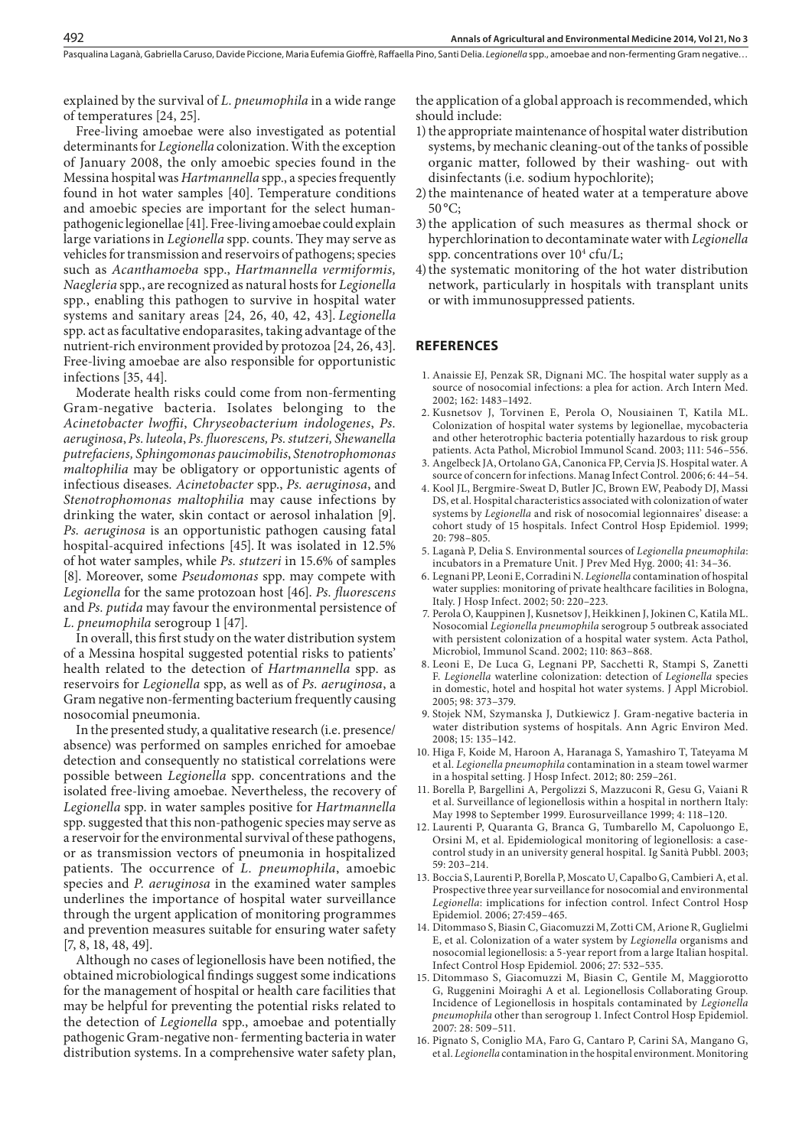Pasqualina Laganà, Gabriella Caruso, Davide Piccione, Maria Eufemia Gioffrè, Raffaella Pino, Santi Delia, Legionella spp., amoebae and non-fermenting Gram negative...

explained by the survival of *L. pneumophila* in a wide range of temperatures [24, 25].

Free-living amoebae were also investigated as potential determinants for *Legionella* colonization. With the exception of January 2008, the only amoebic species found in the Messina hospital was *Hartmannella* spp., a species frequently found in hot water samples [40]. Temperature conditions and amoebic species are important for the select humanpathogenic legionellae [41]. Free-living amoebae could explain large variations in *Legionella* spp. counts. They may serve as vehicles for transmission and reservoirs of pathogens; species such as *Acanthamoeba* spp., *Hartmannella vermiformis, Naegleria* spp*.*, are recognized as natural hosts for *Legionella*  spp*.*, enabling this pathogen to survive in hospital water systems and sanitary areas [24, 26, 40, 42, 43]. *Legionella* spp. act as facultative endoparasites, taking advantage of the nutrient-rich environment provided by protozoa [24, 26, 43]. Free-living amoebae are also responsible for opportunistic infections [35, 44].

Moderate health risks could come from non-fermenting Gram-negative bacteria. Isolates belonging to the *Acinetobacter lwoffii*, *Chryseobacterium indologenes*, *Ps. aeruginosa*, *Ps. luteola*, *Ps. fluorescens, Ps. stutzeri, Shewanella putrefaciens, Sphingomonas paucimobilis*, *Stenotrophomonas maltophilia* may be obligatory or opportunistic agents of infectious diseases*. Acinetobacter* spp., *Ps. aeruginosa*, and *Stenotrophomonas maltophilia* may cause infections by drinking the water, skin contact or aerosol inhalation [9]. *Ps. aeruginosa* is an opportunistic pathogen causing fatal hospital-acquired infections [45]. It was isolated in 12.5% of hot water samples, while *Ps. stutzeri* in 15.6% of samples [8]. Moreover, some *Pseudomonas* spp. may compete with *Legionella* for the same protozoan host [46]. *Ps. fluorescens* and *Ps. putida* may favour the environmental persistence of *L. pneumophila* serogroup 1 [47].

In overall, this first study on the water distribution system of a Messina hospital suggested potential risks to patients' health related to the detection of *Hartmannella* spp. as reservoirs for *Legionella* spp, as well as of *Ps. aeruginosa*, a Gram negative non-fermenting bacterium frequently causing nosocomial pneumonia.

In the presented study, a qualitative research (i.e. presence/ absence) was performed on samples enriched for amoebae detection and consequently no statistical correlations were possible between *Legionella* spp. concentrations and the isolated free-living amoebae. Nevertheless, the recovery of *Legionella* spp. in water samples positive for *Hartmannella* spp. suggested that this non-pathogenic species may serve as a reservoir for the environmental survival of these pathogens, or as transmission vectors of pneumonia in hospitalized patients. The occurrence of *L. pneumophila*, amoebic species and *P. aeruginosa* in the examined water samples underlines the importance of hospital water surveillance through the urgent application of monitoring programmes and prevention measures suitable for ensuring water safety [7, 8, 18, 48, 49].

Although no cases of legionellosis have been notified, the obtained microbiological findings suggest some indications for the management of hospital or health care facilities that may be helpful for preventing the potential risks related to the detection of *Legionella* spp., amoebae and potentially pathogenic Gram-negative non- fermenting bacteria in water distribution systems. In a comprehensive water safety plan,

the application of a global approach is recommended, which should include:

- 1) the appropriate maintenance of hospital water distribution systems, by mechanic cleaning-out of the tanks of possible organic matter, followed by their washing- out with disinfectants (i.e. sodium hypochlorite);
- 2)the maintenance of heated water at a temperature above  $50^{\circ}$ C;
- 3)the application of such measures as thermal shock or hyperchlorination to decontaminate water with *Legionella* spp. concentrations over  $10<sup>4</sup>$  cfu/L;
- 4) the systematic monitoring of the hot water distribution network, particularly in hospitals with transplant units or with immunosuppressed patients.

#### **REFERENCES**

- 1. Anaissie EJ, Penzak SR, Dignani MC. The hospital water supply as a source of nosocomial infections: a plea for action. Arch Intern Med. 2002; 162: 1483–1492.
- 2. Kusnetsov J, Torvinen E, Perola O, Nousiainen T, Katila ML. Colonization of hospital water systems by legionellae, mycobacteria and other heterotrophic bacteria potentially hazardous to risk group patients. Acta Pathol, Microbiol Immunol Scand. 2003; 111: 546–556.
- 3. Angelbeck JA, Ortolano GA, Canonica FP, Cervia JS. Hospital water. A source of concern for infections. Manag Infect Control. 2006; 6: 44–54.
- 4. Kool JL, Bergmire-Sweat D, Butler JC, Brown EW, Peabody DJ, Massi DS, et al. Hospital characteristics associated with colonization of water systems by *Legionella* and risk of nosocomial legionnaires' disease: a cohort study of 15 hospitals. Infect Control Hosp Epidemiol. 1999; 20: 798–805.
- 5. Laganà P, Delia S. Environmental sources of *Legionella pneumophila*: incubators in a Premature Unit. J Prev Med Hyg. 2000; 41: 34–36.
- 6. Legnani PP, Leoni E, Corradini N. *Legionella* contamination of hospital water supplies: monitoring of private healthcare facilities in Bologna, Italy. J Hosp Infect. 2002; 50: 220–223.
- 7. Perola O, Kauppinen J, Kusnetsov J, Heikkinen J, Jokinen C, Katila ML. Nosocomial *Legionella pneumophila* serogroup 5 outbreak associated with persistent colonization of a hospital water system. Acta Pathol, Microbiol, Immunol Scand. 2002; 110: 863–868.
- 8. Leoni E, De Luca G, Legnani PP, Sacchetti R, Stampi S, Zanetti F. *Legionella* waterline colonization: detection of *Legionella* species in domestic, hotel and hospital hot water systems. J Appl Microbiol. 2005; 98: 373–379.
- 9. Stojek NM, Szymanska J, Dutkiewicz J. Gram-negative bacteria in water distribution systems of hospitals. Ann Agric Environ Med. 2008; 15: 135–142.
- 10. Higa F, Koide M, Haroon A, Haranaga S, Yamashiro T, Tateyama M et al. *Legionella pneumophila* contamination in a steam towel warmer in a hospital setting. J Hosp Infect. 2012; 80: 259–261.
- 11. Borella P, Bargellini A, Pergolizzi S, Mazzuconi R, Gesu G, Vaiani R et al. Surveillance of legionellosis within a hospital in northern Italy: May 1998 to September 1999. Eurosurveillance 1999; 4: 118–120.
- 12. Laurenti P, Quaranta G, Branca G, Tumbarello M, Capoluongo E, Orsini M, et al. Epidemiological monitoring of legionellosis: a casecontrol study in an university general hospital. Ig Sanità Pubbl. 2003; 59: 203–214.
- 13. Boccia S, Laurenti P, Borella P, Moscato U, Capalbo G, Cambieri A, et al. Prospective three year surveillance for nosocomial and environmental *Legionella*: implications for infection control. Infect Control Hosp Epidemiol. 2006; 27:459–465.
- 14. Ditommaso S, Biasin C, Giacomuzzi M, Zotti CM, Arione R, Guglielmi E, et al. Colonization of a water system by *Legionella* organisms and nosocomial legionellosis: a 5-year report from a large Italian hospital. Infect Control Hosp Epidemiol. 2006; 27: 532–535.
- 15. Ditommaso S, Giacomuzzi M, Biasin C, Gentile M, Maggiorotto G, Ruggenini Moiraghi A et al. Legionellosis Collaborating Group. Incidence of Legionellosis in hospitals contaminated by *Legionella pneumophila* other than serogroup 1. Infect Control Hosp Epidemiol. 2007: 28: 509–511.
- 16. Pignato S, Coniglio MA, Faro G, Cantaro P, Carini SA, Mangano G, et al. *Legionella* contamination in the hospital environment. Monitoring